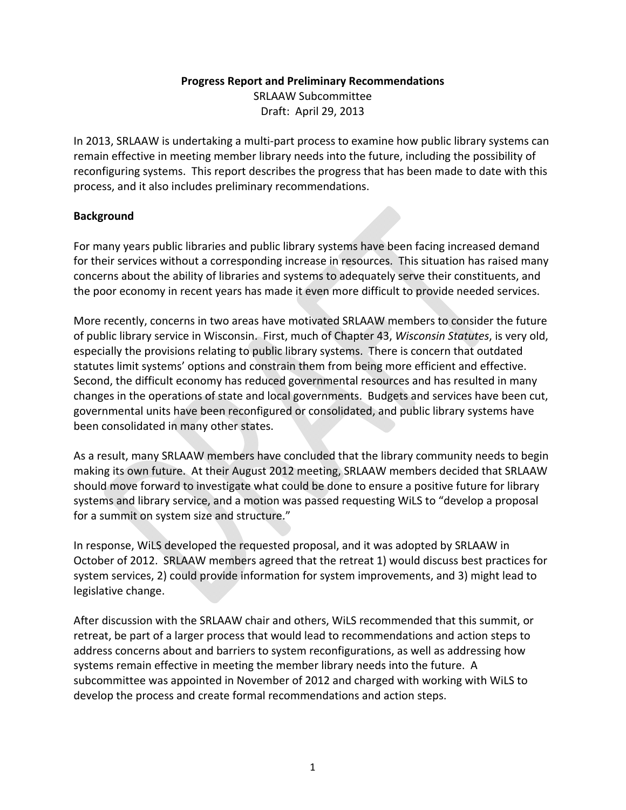#### **Progress Report and Preliminary Recommendations**

SRLAAW Subcommittee Draft: April 29, 2013

In 2013, SRLAAW is undertaking a multi‐part process to examine how public library systems can remain effective in meeting member library needs into the future, including the possibility of reconfiguring systems. This report describes the progress that has been made to date with this process, and it also includes preliminary recommendations.

#### **Background**

For many years public libraries and public library systems have been facing increased demand for their services without a corresponding increase in resources. This situation has raised many concerns about the ability of libraries and systems to adequately serve their constituents, and the poor economy in recent years has made it even more difficult to provide needed services.

More recently, concerns in two areas have motivated SRLAAW members to consider the future of public library service in Wisconsin. First, much of Chapter 43, *Wisconsin Statutes*, is very old, especially the provisions relating to public library systems. There is concern that outdated statutes limit systems' options and constrain them from being more efficient and effective. Second, the difficult economy has reduced governmental resources and has resulted in many changes in the operations of state and local governments. Budgets and services have been cut, governmental units have been reconfigured or consolidated, and public library systems have been consolidated in many other states.

As a result, many SRLAAW members have concluded that the library community needs to begin making its own future. At their August 2012 meeting, SRLAAW members decided that SRLAAW should move forward to investigate what could be done to ensure a positive future for library systems and library service, and a motion was passed requesting WiLS to "develop a proposal for a summit on system size and structure."

In response, WiLS developed the requested proposal, and it was adopted by SRLAAW in October of 2012. SRLAAW members agreed that the retreat 1) would discuss best practices for system services, 2) could provide information for system improvements, and 3) might lead to legislative change.

After discussion with the SRLAAW chair and others, WiLS recommended that this summit, or retreat, be part of a larger process that would lead to recommendations and action steps to address concerns about and barriers to system reconfigurations, as well as addressing how systems remain effective in meeting the member library needs into the future. A subcommittee was appointed in November of 2012 and charged with working with WiLS to develop the process and create formal recommendations and action steps.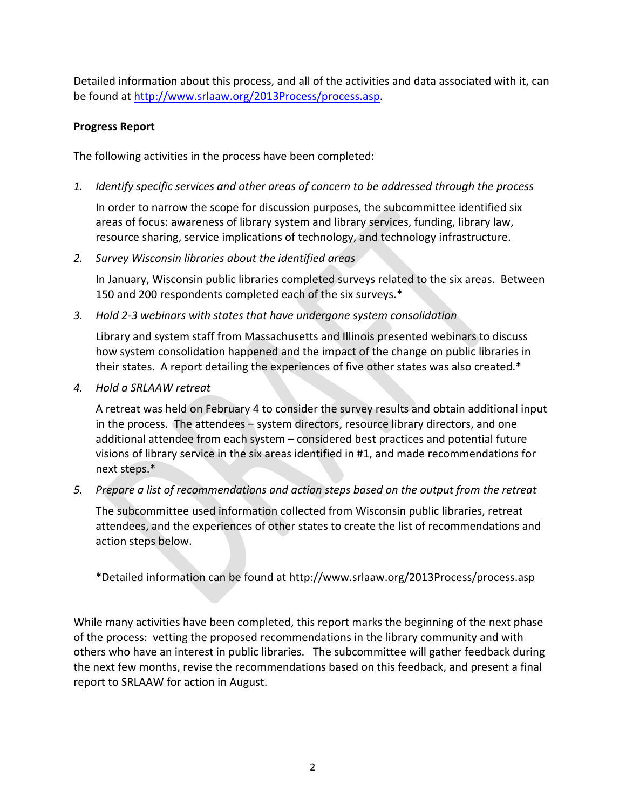Detailed information about this process, and all of the activities and data associated with it, can be found at http://www.srlaaw.org/2013Process/process.asp.

#### **Progress Report**

The following activities in the process have been completed:

*1. Identify specific services and other areas of concern to be addressed through the process*

In order to narrow the scope for discussion purposes, the subcommittee identified six areas of focus: awareness of library system and library services, funding, library law, resource sharing, service implications of technology, and technology infrastructure.

*2. Survey Wisconsin libraries about the identified areas*

In January, Wisconsin public libraries completed surveys related to the six areas. Between 150 and 200 respondents completed each of the six surveys.\*

*3. Hold 2‐3 webinars with states that have undergone system consolidation*

Library and system staff from Massachusetts and Illinois presented webinars to discuss how system consolidation happened and the impact of the change on public libraries in their states. A report detailing the experiences of five other states was also created.\*

*4. Hold a SRLAAW retreat*

A retreat was held on February 4 to consider the survey results and obtain additional input in the process. The attendees – system directors, resource library directors, and one additional attendee from each system – considered best practices and potential future visions of library service in the six areas identified in #1, and made recommendations for next steps.\*

*5. Prepare a list of recommendations and action steps based on the output from the retreat*

The subcommittee used information collected from Wisconsin public libraries, retreat attendees, and the experiences of other states to create the list of recommendations and action steps below.

\*Detailed information can be found at http://www.srlaaw.org/2013Process/process.asp

While many activities have been completed, this report marks the beginning of the next phase of the process: vetting the proposed recommendations in the library community and with others who have an interest in public libraries. The subcommittee will gather feedback during the next few months, revise the recommendations based on this feedback, and present a final report to SRLAAW for action in August.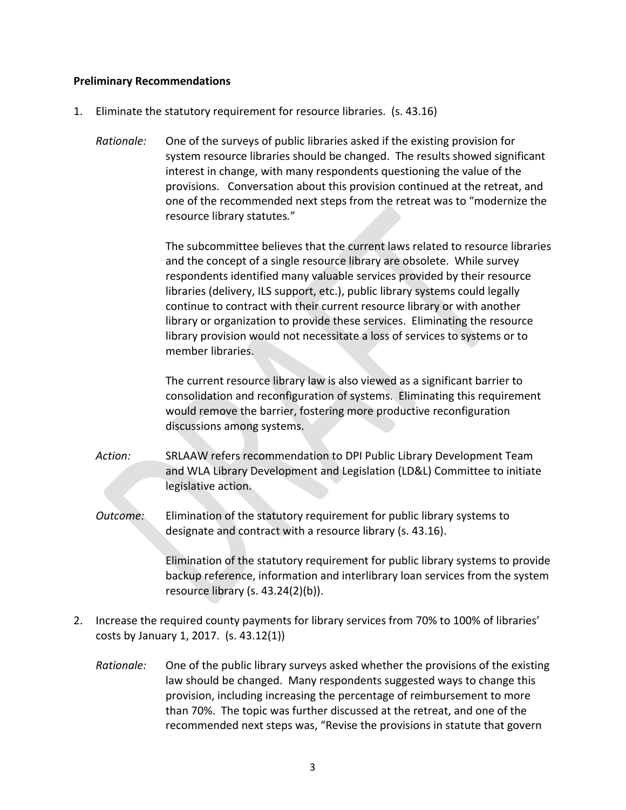#### **Preliminary Recommendations**

- 1. Eliminate the statutory requirement for resource libraries. (s. 43.16)
	- *Rationale:* One of the surveys of public libraries asked if the existing provision for system resource libraries should be changed. The results showed significant interest in change, with many respondents questioning the value of the provisions. Conversation about this provision continued at the retreat, and one of the recommended next steps from the retreat was to "modernize the resource library statutes*.*"

The subcommittee believes that the current laws related to resource libraries and the concept of a single resource library are obsolete. While survey respondents identified many valuable services provided by their resource libraries (delivery, ILS support, etc.), public library systems could legally continue to contract with their current resource library or with another library or organization to provide these services. Eliminating the resource library provision would not necessitate a loss of services to systems or to member libraries.

The current resource library law is also viewed as a significant barrier to consolidation and reconfiguration of systems. Eliminating this requirement would remove the barrier, fostering more productive reconfiguration discussions among systems.

*Action:* SRLAAW refers recommendation to DPI Public Library Development Team and WLA Library Development and Legislation (LD&L) Committee to initiate legislative action.

*Outcome:* Elimination of the statutory requirement for public library systems to designate and contract with a resource library (s. 43.16).

> Elimination of the statutory requirement for public library systems to provide backup reference, information and interlibrary loan services from the system resource library (s. 43.24(2)(b)).

- 2. Increase the required county payments for library services from 70% to 100% of libraries' costs by January 1, 2017. (s. 43.12(1))
	- *Rationale:* One of the public library surveys asked whether the provisions of the existing law should be changed. Many respondents suggested ways to change this provision, including increasing the percentage of reimbursement to more than 70%. The topic was further discussed at the retreat, and one of the recommended next steps was, "Revise the provisions in statute that govern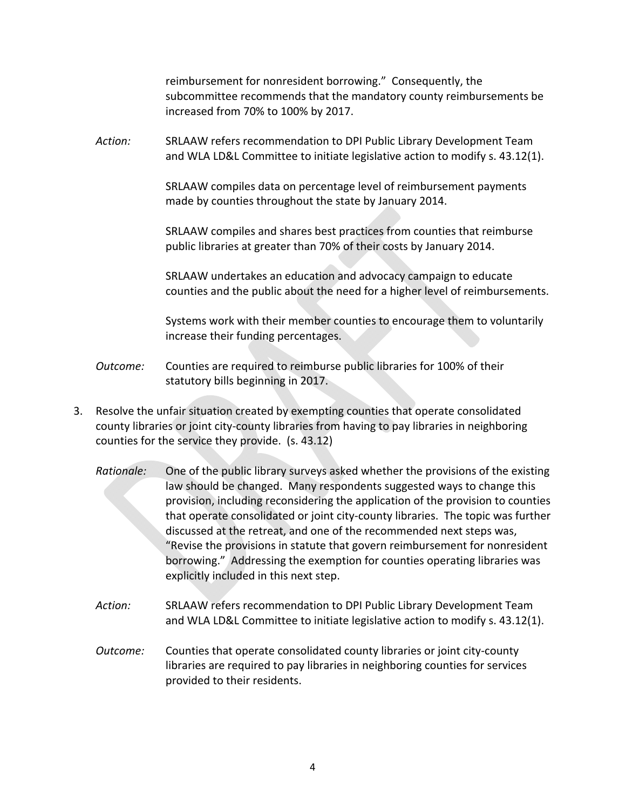reimbursement for nonresident borrowing." Consequently, the subcommittee recommends that the mandatory county reimbursements be increased from 70% to 100% by 2017.

*Action:* SRLAAW refers recommendation to DPI Public Library Development Team and WLA LD&L Committee to initiate legislative action to modify s. 43.12(1).

> SRLAAW compiles data on percentage level of reimbursement payments made by counties throughout the state by January 2014.

SRLAAW compiles and shares best practices from counties that reimburse public libraries at greater than 70% of their costs by January 2014.

SRLAAW undertakes an education and advocacy campaign to educate counties and the public about the need for a higher level of reimbursements.

Systems work with their member counties to encourage them to voluntarily increase their funding percentages.

- *Outcome:* Counties are required to reimburse public libraries for 100% of their statutory bills beginning in 2017.
- 3. Resolve the unfair situation created by exempting counties that operate consolidated county libraries or joint city-county libraries from having to pay libraries in neighboring counties for the service they provide. (s. 43.12)
	- *Rationale:* One of the public library surveys asked whether the provisions of the existing law should be changed. Many respondents suggested ways to change this provision, including reconsidering the application of the provision to counties that operate consolidated or joint city‐county libraries. The topic was further discussed at the retreat, and one of the recommended next steps was, "Revise the provisions in statute that govern reimbursement for nonresident borrowing." Addressing the exemption for counties operating libraries was explicitly included in this next step.
	- *Action:* SRLAAW refers recommendation to DPI Public Library Development Team and WLA LD&L Committee to initiate legislative action to modify s. 43.12(1).
	- *Outcome:* Counties that operate consolidated county libraries or joint city‐county libraries are required to pay libraries in neighboring counties for services provided to their residents.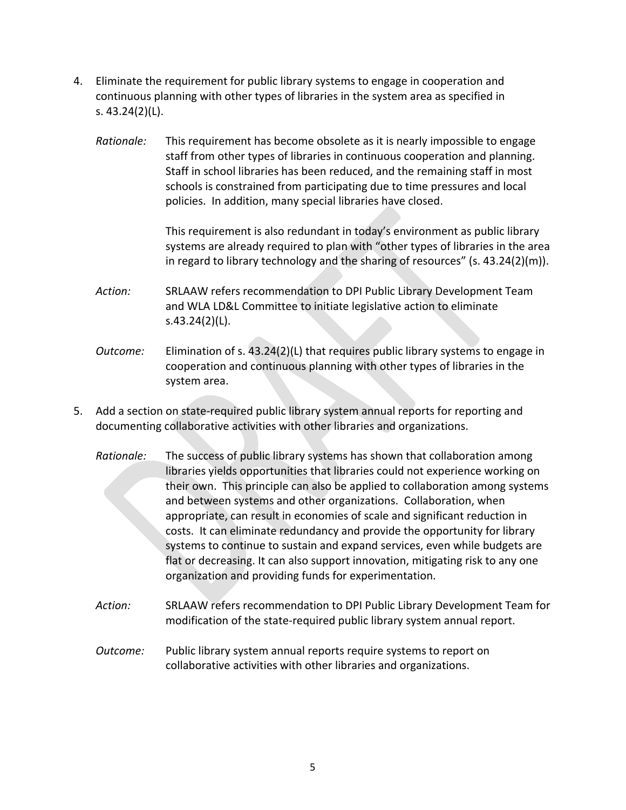- 4. Eliminate the requirement for public library systems to engage in cooperation and continuous planning with other types of libraries in the system area as specified in s. 43.24(2)(L).
	- *Rationale:* This requirement has become obsolete as it is nearly impossible to engage staff from other types of libraries in continuous cooperation and planning. Staff in school libraries has been reduced, and the remaining staff in most schools is constrained from participating due to time pressures and local policies. In addition, many special libraries have closed.

This requirement is also redundant in today's environment as public library systems are already required to plan with "other types of libraries in the area in regard to library technology and the sharing of resources" (s.  $43.24(2)(m)$ ).

- *Action:* SRLAAW refers recommendation to DPI Public Library Development Team and WLA LD&L Committee to initiate legislative action to eliminate s.43.24(2)(L).
- *Outcome:* Elimination of s. 43.24(2)(L) that requires public library systems to engage in cooperation and continuous planning with other types of libraries in the system area.
- 5. Add a section on state-required public library system annual reports for reporting and documenting collaborative activities with other libraries and organizations.
	- *Rationale:* The success of public library systems has shown that collaboration among libraries yields opportunities that libraries could not experience working on their own. This principle can also be applied to collaboration among systems and between systems and other organizations. Collaboration, when appropriate, can result in economies of scale and significant reduction in costs. It can eliminate redundancy and provide the opportunity for library systems to continue to sustain and expand services, even while budgets are flat or decreasing. It can also support innovation, mitigating risk to any one organization and providing funds for experimentation.
	- *Action:* SRLAAW refers recommendation to DPI Public Library Development Team for modification of the state‐required public library system annual report.
	- *Outcome:* Public library system annual reports require systems to report on collaborative activities with other libraries and organizations.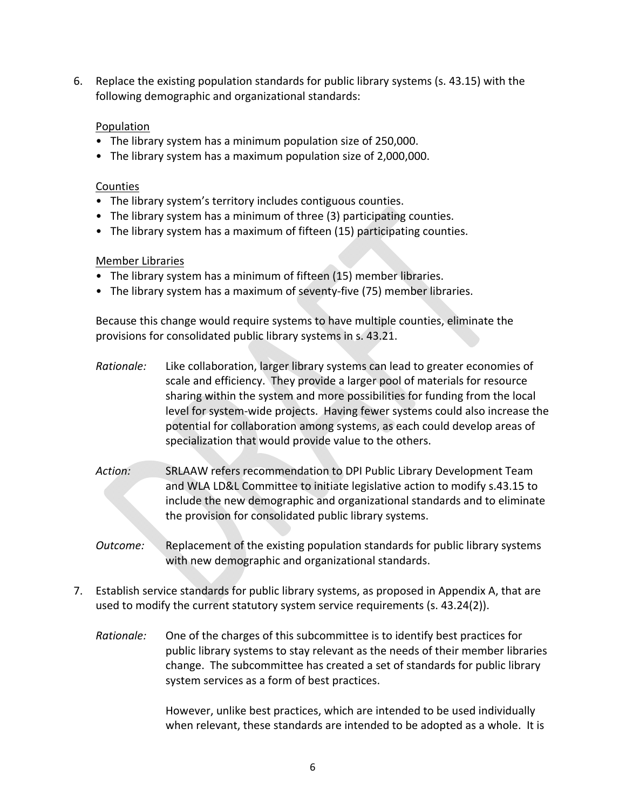6. Replace the existing population standards for public library systems (s. 43.15) with the following demographic and organizational standards:

#### Population

- The library system has a minimum population size of 250,000.
- The library system has a maximum population size of 2,000,000.

#### **Counties**

- The library system's territory includes contiguous counties.
- The library system has a minimum of three (3) participating counties.
- The library system has a maximum of fifteen (15) participating counties.

#### Member Libraries

- The library system has a minimum of fifteen (15) member libraries.
- The library system has a maximum of seventy‐five (75) member libraries.

Because this change would require systems to have multiple counties, eliminate the provisions for consolidated public library systems in s. 43.21.

- *Rationale:* Like collaboration, larger library systems can lead to greater economies of scale and efficiency. They provide a larger pool of materials for resource sharing within the system and more possibilities for funding from the local level for system‐wide projects. Having fewer systems could also increase the potential for collaboration among systems, as each could develop areas of specialization that would provide value to the others.
- *Action:* SRLAAW refers recommendation to DPI Public Library Development Team and WLA LD&L Committee to initiate legislative action to modify s.43.15 to include the new demographic and organizational standards and to eliminate the provision for consolidated public library systems.
- *Outcome:* Replacement of the existing population standards for public library systems with new demographic and organizational standards.
- 7. Establish service standards for public library systems, as proposed in Appendix A, that are used to modify the current statutory system service requirements (s. 43.24(2)).
	- *Rationale:* One of the charges of this subcommittee is to identify best practices for public library systems to stay relevant as the needs of their member libraries change. The subcommittee has created a set of standards for public library system services as a form of best practices.

However, unlike best practices, which are intended to be used individually when relevant, these standards are intended to be adopted as a whole. It is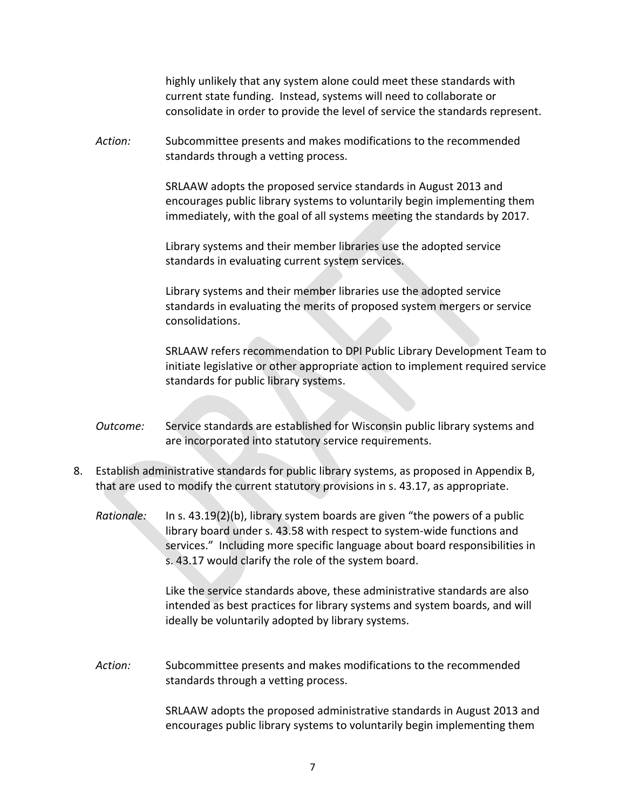highly unlikely that any system alone could meet these standards with current state funding. Instead, systems will need to collaborate or consolidate in order to provide the level of service the standards represent.

*Action:* Subcommittee presents and makes modifications to the recommended standards through a vetting process.

> SRLAAW adopts the proposed service standards in August 2013 and encourages public library systems to voluntarily begin implementing them immediately, with the goal of all systems meeting the standards by 2017.

Library systems and their member libraries use the adopted service standards in evaluating current system services.

Library systems and their member libraries use the adopted service standards in evaluating the merits of proposed system mergers or service consolidations.

SRLAAW refers recommendation to DPI Public Library Development Team to initiate legislative or other appropriate action to implement required service standards for public library systems.

- *Outcome:* Service standards are established for Wisconsin public library systems and are incorporated into statutory service requirements.
- 8. Establish administrative standards for public library systems, as proposed in Appendix B, that are used to modify the current statutory provisions in s. 43.17, as appropriate.
	- *Rationale:* In s. 43.19(2)(b), library system boards are given "the powers of a public library board under s. 43.58 with respect to system-wide functions and services." Including more specific language about board responsibilities in s. 43.17 would clarify the role of the system board.

Like the service standards above, these administrative standards are also intended as best practices for library systems and system boards, and will ideally be voluntarily adopted by library systems.

*Action:* Subcommittee presents and makes modifications to the recommended standards through a vetting process.

> SRLAAW adopts the proposed administrative standards in August 2013 and encourages public library systems to voluntarily begin implementing them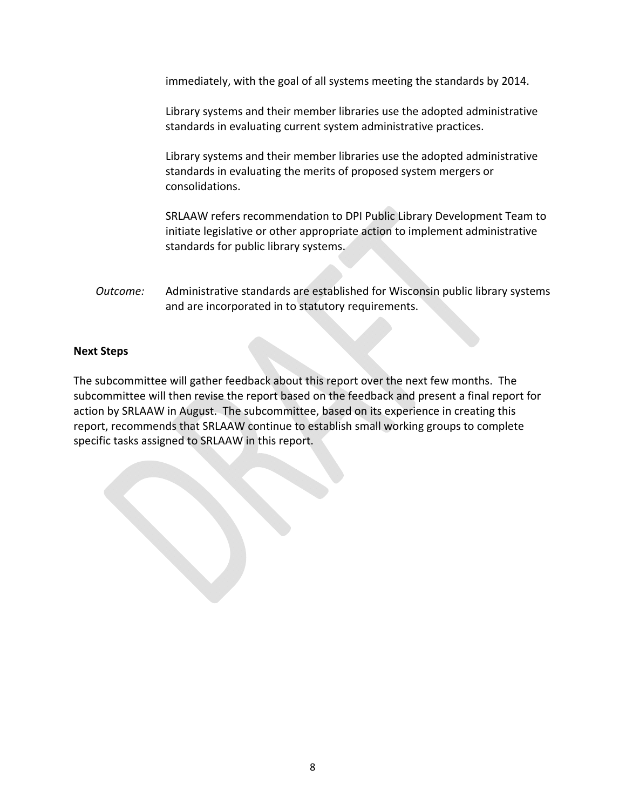immediately, with the goal of all systems meeting the standards by 2014.

Library systems and their member libraries use the adopted administrative standards in evaluating current system administrative practices.

Library systems and their member libraries use the adopted administrative standards in evaluating the merits of proposed system mergers or consolidations.

SRLAAW refers recommendation to DPI Public Library Development Team to initiate legislative or other appropriate action to implement administrative standards for public library systems.

*Outcome:* Administrative standards are established for Wisconsin public library systems and are incorporated in to statutory requirements.

#### **Next Steps**

The subcommittee will gather feedback about this report over the next few months. The subcommittee will then revise the report based on the feedback and present a final report for action by SRLAAW in August. The subcommittee, based on its experience in creating this report, recommends that SRLAAW continue to establish small working groups to complete specific tasks assigned to SRLAAW in this report.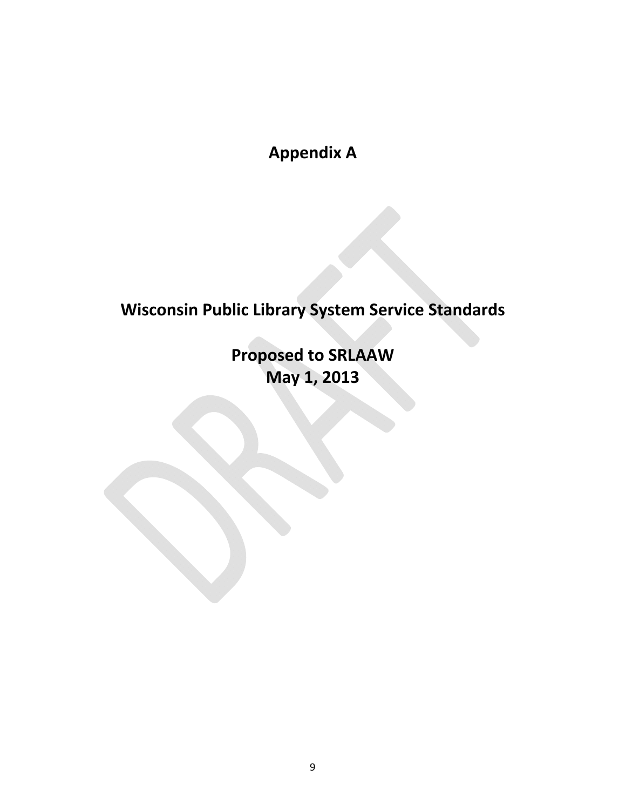**Appendix A**

# **Wisconsin Public Library System Service Standards**

**Proposed to SRLAAW May 1, 2013**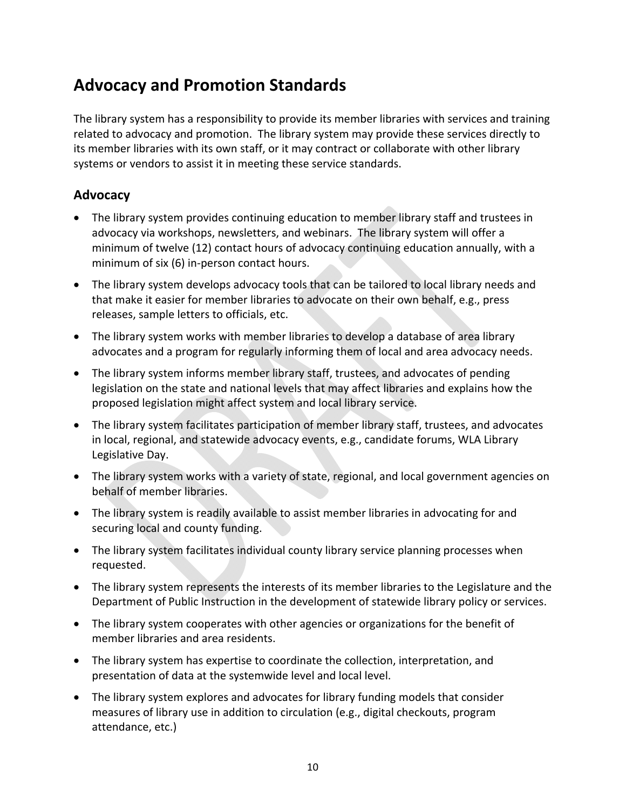## **Advocacy and Promotion Standards**

The library system has a responsibility to provide its member libraries with services and training related to advocacy and promotion. The library system may provide these services directly to its member libraries with its own staff, or it may contract or collaborate with other library systems or vendors to assist it in meeting these service standards.

### **Advocacy**

- The library system provides continuing education to member library staff and trustees in advocacy via workshops, newsletters, and webinars. The library system will offer a minimum of twelve (12) contact hours of advocacy continuing education annually, with a minimum of six (6) in‐person contact hours.
- The library system develops advocacy tools that can be tailored to local library needs and that make it easier for member libraries to advocate on their own behalf, e.g., press releases, sample letters to officials, etc.
- The library system works with member libraries to develop a database of area library advocates and a program for regularly informing them of local and area advocacy needs.
- The library system informs member library staff, trustees, and advocates of pending legislation on the state and national levels that may affect libraries and explains how the proposed legislation might affect system and local library service.
- The library system facilitates participation of member library staff, trustees, and advocates in local, regional, and statewide advocacy events, e.g., candidate forums, WLA Library Legislative Day.
- The library system works with a variety of state, regional, and local government agencies on behalf of member libraries.
- The library system is readily available to assist member libraries in advocating for and securing local and county funding.
- The library system facilitates individual county library service planning processes when requested.
- The library system represents the interests of its member libraries to the Legislature and the Department of Public Instruction in the development of statewide library policy or services.
- The library system cooperates with other agencies or organizations for the benefit of member libraries and area residents.
- The library system has expertise to coordinate the collection, interpretation, and presentation of data at the systemwide level and local level.
- The library system explores and advocates for library funding models that consider measures of library use in addition to circulation (e.g., digital checkouts, program attendance, etc.)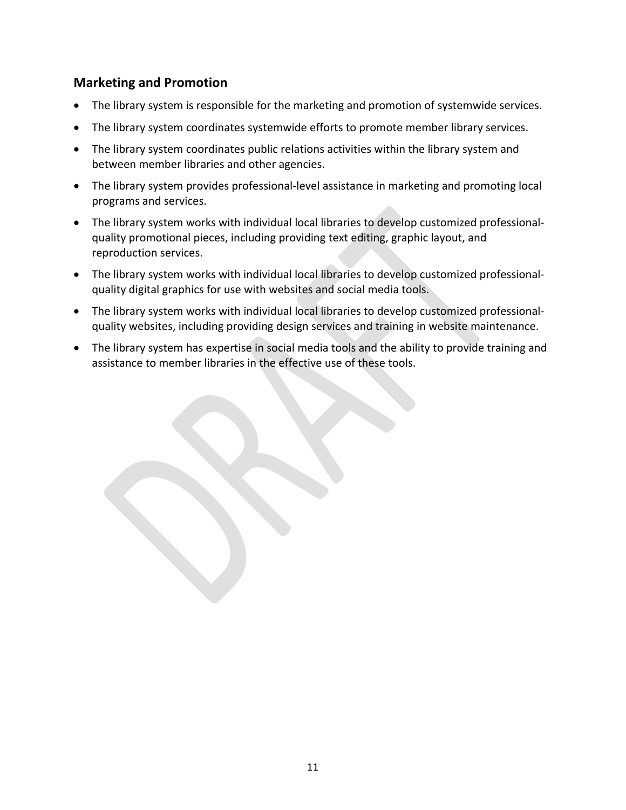### **Marketing and Promotion**

- The library system is responsible for the marketing and promotion of systemwide services.
- The library system coordinates systemwide efforts to promote member library services.
- The library system coordinates public relations activities within the library system and between member libraries and other agencies.
- The library system provides professional-level assistance in marketing and promoting local programs and services.
- The library system works with individual local libraries to develop customized professionalquality promotional pieces, including providing text editing, graphic layout, and reproduction services.
- The library system works with individual local libraries to develop customized professional‐ quality digital graphics for use with websites and social media tools.
- The library system works with individual local libraries to develop customized professionalquality websites, including providing design services and training in website maintenance.
- The library system has expertise in social media tools and the ability to provide training and assistance to member libraries in the effective use of these tools.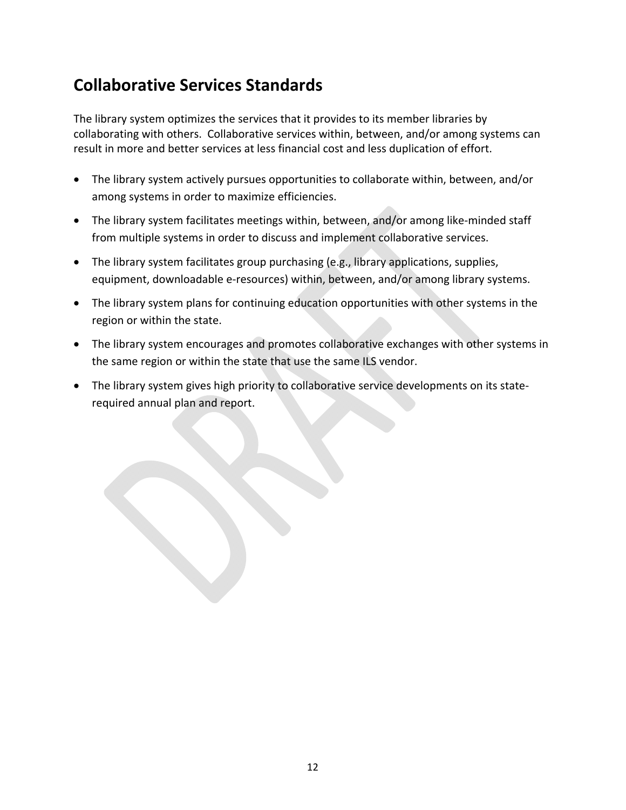## **Collaborative Services Standards**

The library system optimizes the services that it provides to its member libraries by collaborating with others. Collaborative services within, between, and/or among systems can result in more and better services at less financial cost and less duplication of effort.

- The library system actively pursues opportunities to collaborate within, between, and/or among systems in order to maximize efficiencies.
- The library system facilitates meetings within, between, and/or among like‐minded staff from multiple systems in order to discuss and implement collaborative services.
- The library system facilitates group purchasing (e.g., library applications, supplies, equipment, downloadable e‐resources) within, between, and/or among library systems.
- The library system plans for continuing education opportunities with other systems in the region or within the state.
- The library system encourages and promotes collaborative exchanges with other systems in the same region or within the state that use the same ILS vendor.
- The library system gives high priority to collaborative service developments on its state‐ required annual plan and report.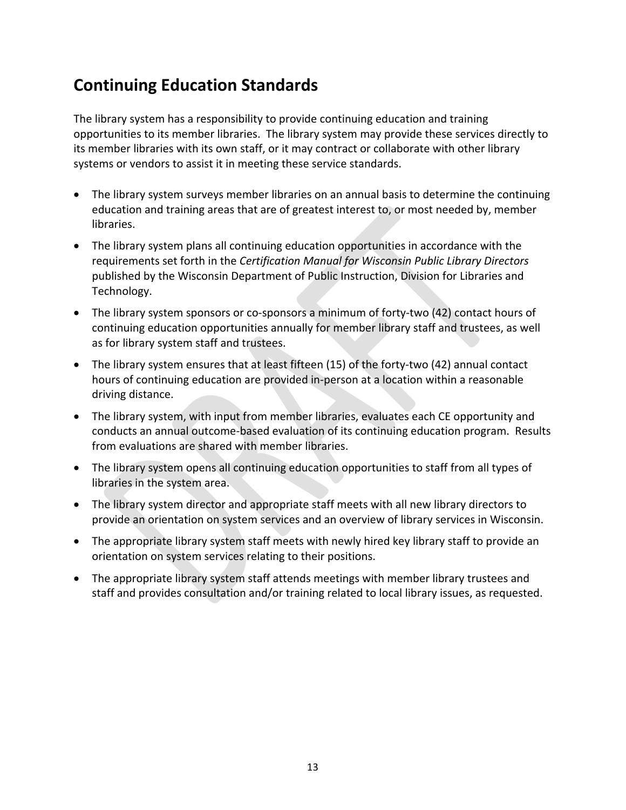## **Continuing Education Standards**

The library system has a responsibility to provide continuing education and training opportunities to its member libraries. The library system may provide these services directly to its member libraries with its own staff, or it may contract or collaborate with other library systems or vendors to assist it in meeting these service standards.

- The library system surveys member libraries on an annual basis to determine the continuing education and training areas that are of greatest interest to, or most needed by, member libraries.
- The library system plans all continuing education opportunities in accordance with the requirements set forth in the *Certification Manual for Wisconsin Public Library Directors* published by the Wisconsin Department of Public Instruction, Division for Libraries and Technology.
- The library system sponsors or co-sponsors a minimum of forty-two (42) contact hours of continuing education opportunities annually for member library staff and trustees, as well as for library system staff and trustees.
- The library system ensures that at least fifteen (15) of the forty-two (42) annual contact hours of continuing education are provided in‐person at a location within a reasonable driving distance.
- The library system, with input from member libraries, evaluates each CE opportunity and conducts an annual outcome‐based evaluation of its continuing education program. Results from evaluations are shared with member libraries.
- The library system opens all continuing education opportunities to staff from all types of libraries in the system area.
- The library system director and appropriate staff meets with all new library directors to provide an orientation on system services and an overview of library services in Wisconsin.
- The appropriate library system staff meets with newly hired key library staff to provide an orientation on system services relating to their positions.
- The appropriate library system staff attends meetings with member library trustees and staff and provides consultation and/or training related to local library issues, as requested.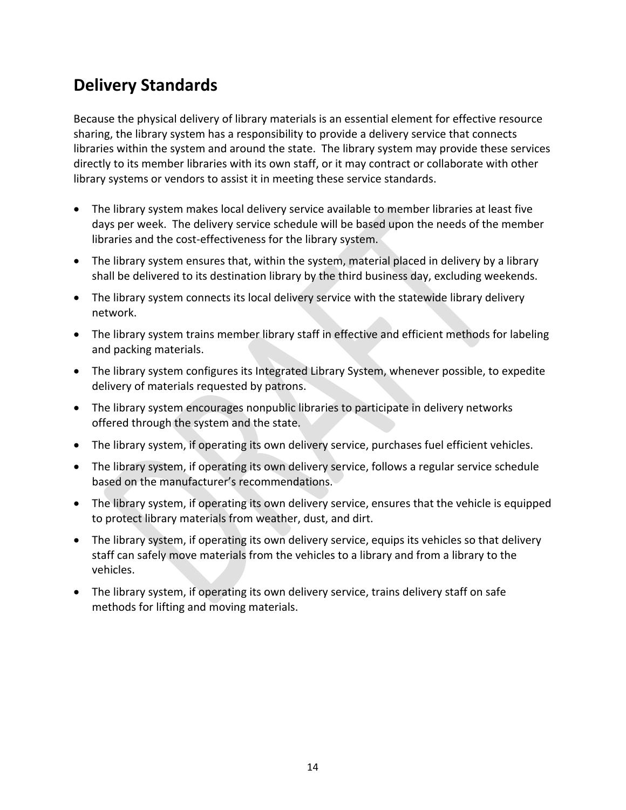## **Delivery Standards**

Because the physical delivery of library materials is an essential element for effective resource sharing, the library system has a responsibility to provide a delivery service that connects libraries within the system and around the state. The library system may provide these services directly to its member libraries with its own staff, or it may contract or collaborate with other library systems or vendors to assist it in meeting these service standards.

- The library system makes local delivery service available to member libraries at least five days per week. The delivery service schedule will be based upon the needs of the member libraries and the cost‐effectiveness for the library system.
- The library system ensures that, within the system, material placed in delivery by a library shall be delivered to its destination library by the third business day, excluding weekends.
- The library system connects its local delivery service with the statewide library delivery network.
- The library system trains member library staff in effective and efficient methods for labeling and packing materials.
- The library system configures its Integrated Library System, whenever possible, to expedite delivery of materials requested by patrons.
- The library system encourages nonpublic libraries to participate in delivery networks offered through the system and the state.
- The library system, if operating its own delivery service, purchases fuel efficient vehicles.
- The library system, if operating its own delivery service, follows a regular service schedule based on the manufacturer's recommendations.
- The library system, if operating its own delivery service, ensures that the vehicle is equipped to protect library materials from weather, dust, and dirt.
- The library system, if operating its own delivery service, equips its vehicles so that delivery staff can safely move materials from the vehicles to a library and from a library to the vehicles.
- The library system, if operating its own delivery service, trains delivery staff on safe methods for lifting and moving materials.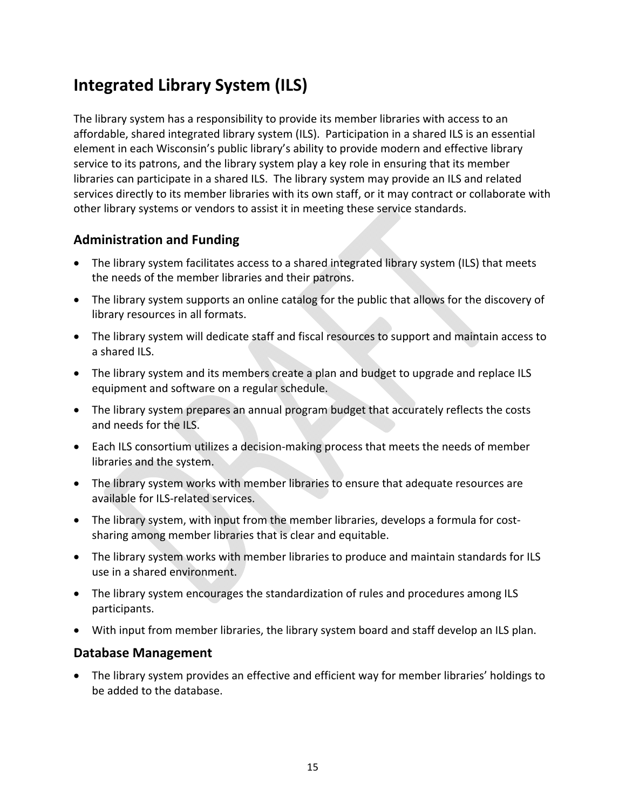## **Integrated Library System (ILS)**

The library system has a responsibility to provide its member libraries with access to an affordable, shared integrated library system (ILS). Participation in a shared ILS is an essential element in each Wisconsin's public library's ability to provide modern and effective library service to its patrons, and the library system play a key role in ensuring that its member libraries can participate in a shared ILS. The library system may provide an ILS and related services directly to its member libraries with its own staff, or it may contract or collaborate with other library systems or vendors to assist it in meeting these service standards.

### **Administration and Funding**

- The library system facilitates access to a shared integrated library system (ILS) that meets the needs of the member libraries and their patrons.
- The library system supports an online catalog for the public that allows for the discovery of library resources in all formats.
- The library system will dedicate staff and fiscal resources to support and maintain access to a shared ILS.
- The library system and its members create a plan and budget to upgrade and replace ILS equipment and software on a regular schedule.
- The library system prepares an annual program budget that accurately reflects the costs and needs for the ILS.
- Each ILS consortium utilizes a decision‐making process that meets the needs of member libraries and the system.
- The library system works with member libraries to ensure that adequate resources are available for ILS‐related services.
- The library system, with input from the member libraries, develops a formula for costsharing among member libraries that is clear and equitable.
- The library system works with member libraries to produce and maintain standards for ILS use in a shared environment.
- The library system encourages the standardization of rules and procedures among ILS participants.
- With input from member libraries, the library system board and staff develop an ILS plan.

### **Database Management**

 The library system provides an effective and efficient way for member libraries' holdings to be added to the database.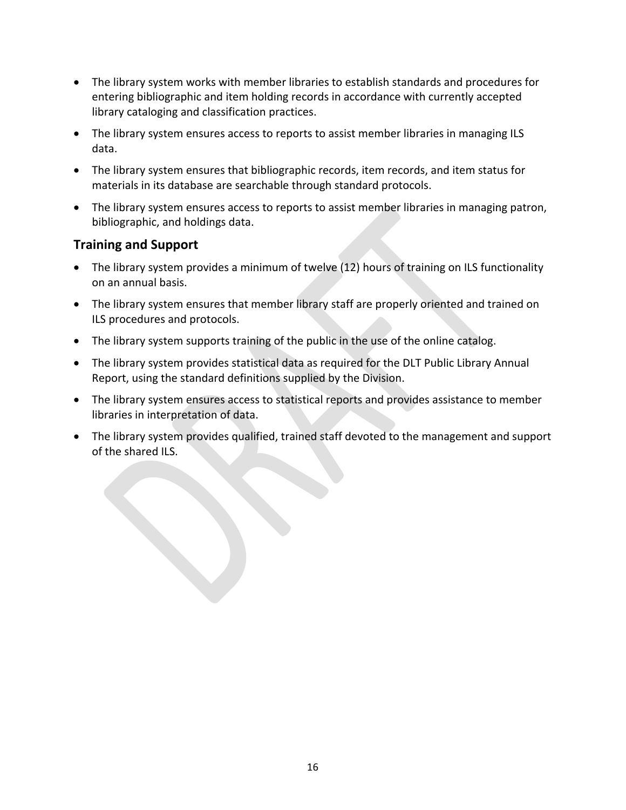- The library system works with member libraries to establish standards and procedures for entering bibliographic and item holding records in accordance with currently accepted library cataloging and classification practices.
- The library system ensures access to reports to assist member libraries in managing ILS data.
- The library system ensures that bibliographic records, item records, and item status for materials in its database are searchable through standard protocols.
- The library system ensures access to reports to assist member libraries in managing patron, bibliographic, and holdings data.

### **Training and Support**

- The library system provides a minimum of twelve (12) hours of training on ILS functionality on an annual basis.
- The library system ensures that member library staff are properly oriented and trained on ILS procedures and protocols.
- The library system supports training of the public in the use of the online catalog.
- The library system provides statistical data as required for the DLT Public Library Annual Report, using the standard definitions supplied by the Division.
- The library system ensures access to statistical reports and provides assistance to member libraries in interpretation of data.
- The library system provides qualified, trained staff devoted to the management and support of the shared ILS.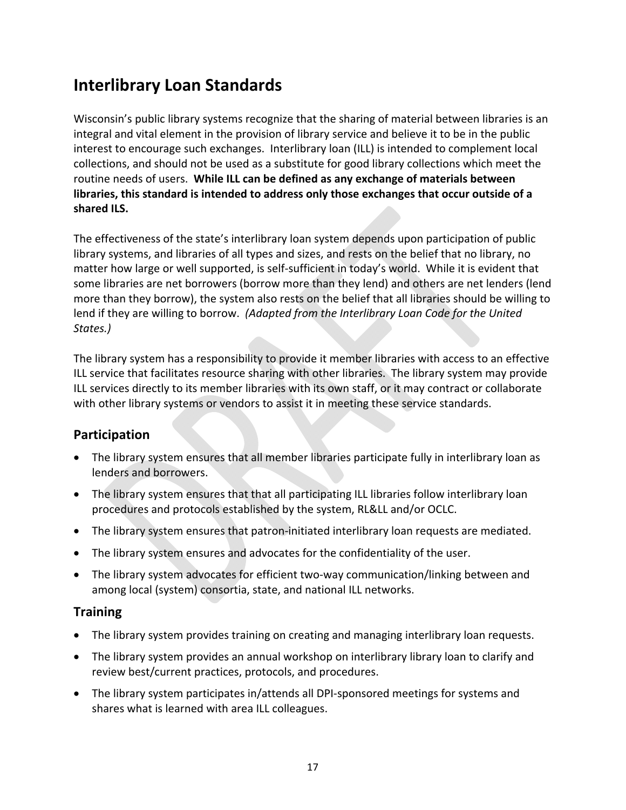## **Interlibrary Loan Standards**

Wisconsin's public library systems recognize that the sharing of material between libraries is an integral and vital element in the provision of library service and believe it to be in the public interest to encourage such exchanges. Interlibrary loan (ILL) is intended to complement local collections, and should not be used as a substitute for good library collections which meet the routine needs of users. **While ILL can be defined as any exchange of materials between libraries, this standard is intended to address only those exchanges that occur outside of a shared ILS.**

The effectiveness of the state's interlibrary loan system depends upon participation of public library systems, and libraries of all types and sizes, and rests on the belief that no library, no matter how large or well supported, is self-sufficient in today's world. While it is evident that some libraries are net borrowers (borrow more than they lend) and others are net lenders (lend more than they borrow), the system also rests on the belief that all libraries should be willing to lend if they are willing to borrow. *(Adapted from the Interlibrary Loan Code for the United States.)*

The library system has a responsibility to provide it member libraries with access to an effective ILL service that facilitates resource sharing with other libraries. The library system may provide ILL services directly to its member libraries with its own staff, or it may contract or collaborate with other library systems or vendors to assist it in meeting these service standards.

### **Participation**

- The library system ensures that all member libraries participate fully in interlibrary loan as lenders and borrowers.
- The library system ensures that that all participating ILL libraries follow interlibrary loan procedures and protocols established by the system, RL&LL and/or OCLC.
- The library system ensures that patron-initiated interlibrary loan requests are mediated.
- The library system ensures and advocates for the confidentiality of the user.
- The library system advocates for efficient two‐way communication/linking between and among local (system) consortia, state, and national ILL networks.

#### **Training**

- The library system provides training on creating and managing interlibrary loan requests.
- The library system provides an annual workshop on interlibrary library loan to clarify and review best/current practices, protocols, and procedures.
- The library system participates in/attends all DPI‐sponsored meetings for systems and shares what is learned with area ILL colleagues.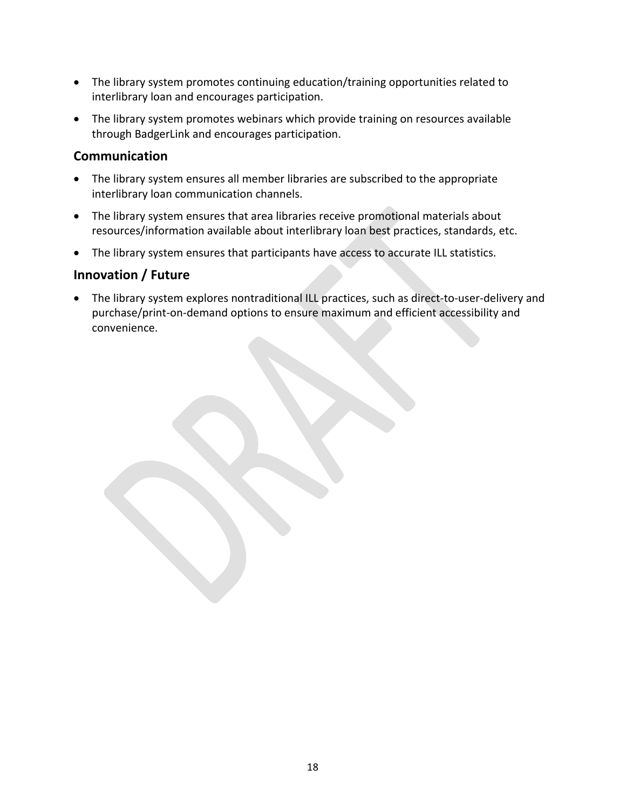- The library system promotes continuing education/training opportunities related to interlibrary loan and encourages participation.
- The library system promotes webinars which provide training on resources available through BadgerLink and encourages participation.

### **Communication**

- The library system ensures all member libraries are subscribed to the appropriate interlibrary loan communication channels.
- The library system ensures that area libraries receive promotional materials about resources/information available about interlibrary loan best practices, standards, etc.
- The library system ensures that participants have access to accurate ILL statistics.

### **Innovation / Future**

 The library system explores nontraditional ILL practices, such as direct‐to‐user‐delivery and purchase/print-on-demand options to ensure maximum and efficient accessibility and convenience.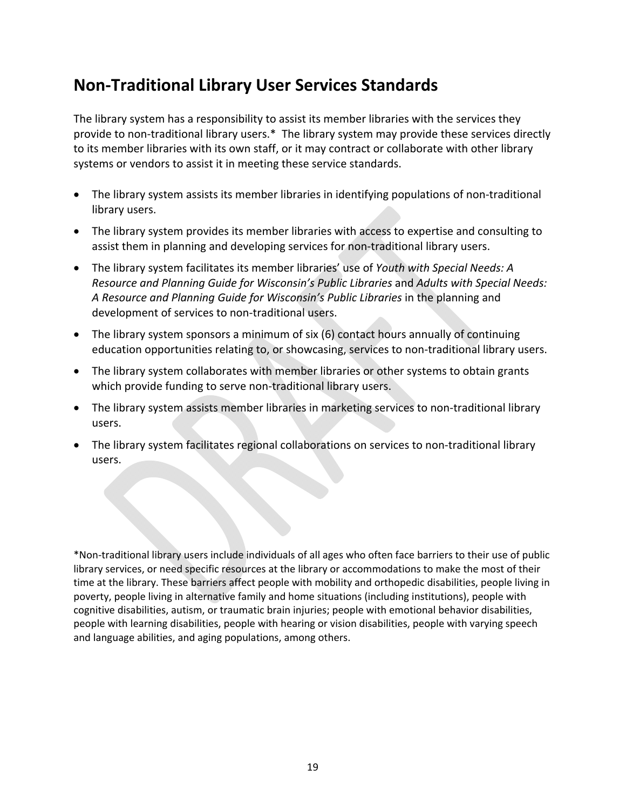### **Non‐Traditional Library User Services Standards**

The library system has a responsibility to assist its member libraries with the services they provide to non-traditional library users.\* The library system may provide these services directly to its member libraries with its own staff, or it may contract or collaborate with other library systems or vendors to assist it in meeting these service standards.

- The library system assists its member libraries in identifying populations of non-traditional library users.
- The library system provides its member libraries with access to expertise and consulting to assist them in planning and developing services for non-traditional library users.
- The library system facilitates its member libraries' use of *Youth with Special Needs: A Resource and Planning Guide for Wisconsin's Public Libraries* and *Adults with Special Needs: A Resource and Planning Guide for Wisconsin's Public Libraries* in the planning and development of services to non‐traditional users.
- The library system sponsors a minimum of six (6) contact hours annually of continuing education opportunities relating to, or showcasing, services to non-traditional library users.
- The library system collaborates with member libraries or other systems to obtain grants which provide funding to serve non-traditional library users.
- The library system assists member libraries in marketing services to non-traditional library users.
- The library system facilitates regional collaborations on services to non-traditional library users.

\*Non‐traditional library users include individuals of all ages who often face barriers to their use of public library services, or need specific resources at the library or accommodations to make the most of their time at the library. These barriers affect people with mobility and orthopedic disabilities, people living in poverty, people living in alternative family and home situations (including institutions), people with cognitive disabilities, autism, or traumatic brain injuries; people with emotional behavior disabilities, people with learning disabilities, people with hearing or vision disabilities, people with varying speech and language abilities, and aging populations, among others.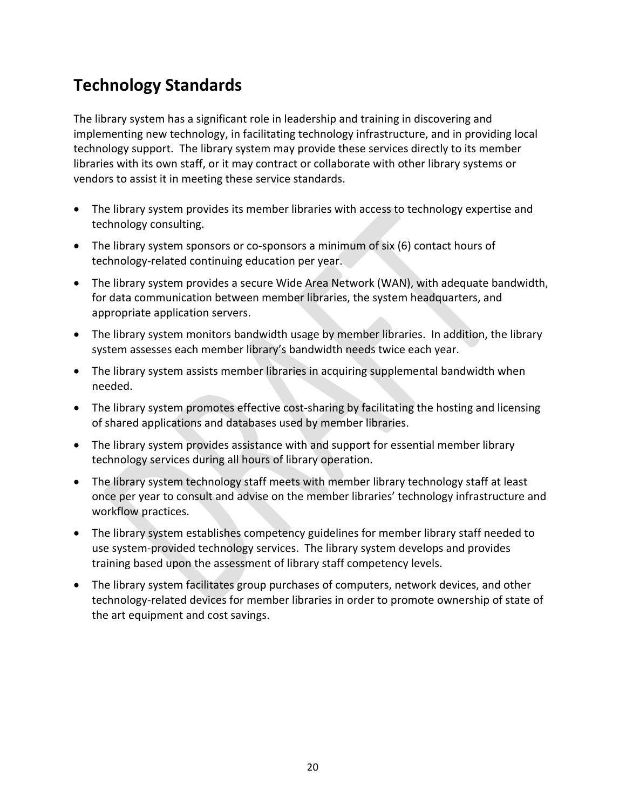## **Technology Standards**

The library system has a significant role in leadership and training in discovering and implementing new technology, in facilitating technology infrastructure, and in providing local technology support. The library system may provide these services directly to its member libraries with its own staff, or it may contract or collaborate with other library systems or vendors to assist it in meeting these service standards.

- The library system provides its member libraries with access to technology expertise and technology consulting.
- The library system sponsors or co-sponsors a minimum of six (6) contact hours of technology‐related continuing education per year.
- The library system provides a secure Wide Area Network (WAN), with adequate bandwidth, for data communication between member libraries, the system headquarters, and appropriate application servers.
- The library system monitors bandwidth usage by member libraries. In addition, the library system assesses each member library's bandwidth needs twice each year.
- The library system assists member libraries in acquiring supplemental bandwidth when needed.
- The library system promotes effective cost-sharing by facilitating the hosting and licensing of shared applications and databases used by member libraries.
- The library system provides assistance with and support for essential member library technology services during all hours of library operation.
- The library system technology staff meets with member library technology staff at least once per year to consult and advise on the member libraries' technology infrastructure and workflow practices.
- The library system establishes competency guidelines for member library staff needed to use system‐provided technology services. The library system develops and provides training based upon the assessment of library staff competency levels.
- The library system facilitates group purchases of computers, network devices, and other technology‐related devices for member libraries in order to promote ownership of state of the art equipment and cost savings.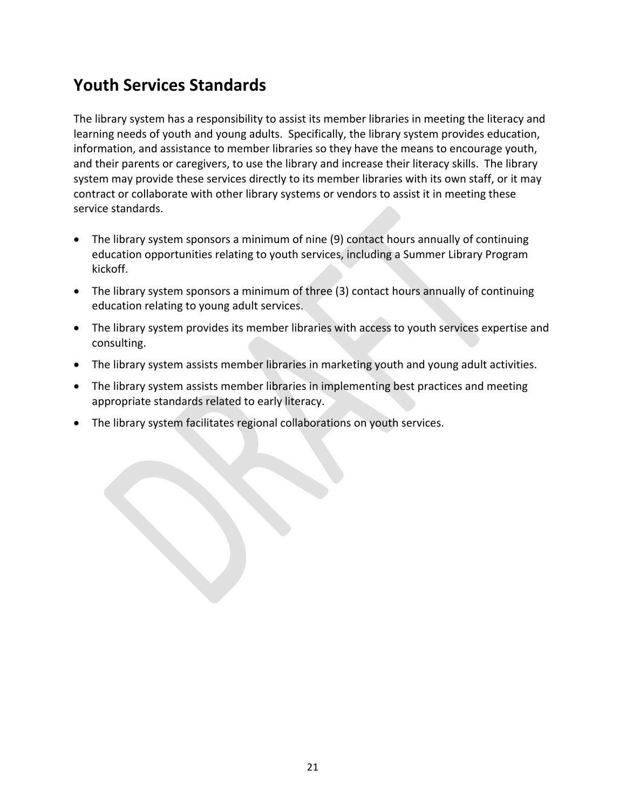## **Youth Services Standards**

The library system has a responsibility to assist its member libraries in meeting the literacy and learning needs of youth and young adults. Specifically, the library system provides education, information, and assistance to member libraries so they have the means to encourage youth, and their parents or caregivers, to use the library and increase their literacy skills. The library system may provide these services directly to its member libraries with its own staff, or it may contract or collaborate with other library systems or vendors to assist it in meeting these service standards.

- The library system sponsors a minimum of nine (9) contact hours annually of continuing education opportunities relating to youth services, including a Summer Library Program kickoff.
- The library system sponsors a minimum of three (3) contact hours annually of continuing education relating to young adult services.
- The library system provides its member libraries with access to youth services expertise and consulting.
- The library system assists member libraries in marketing youth and young adult activities.
- The library system assists member libraries in implementing best practices and meeting appropriate standards related to early literacy.
- The library system facilitates regional collaborations on youth services.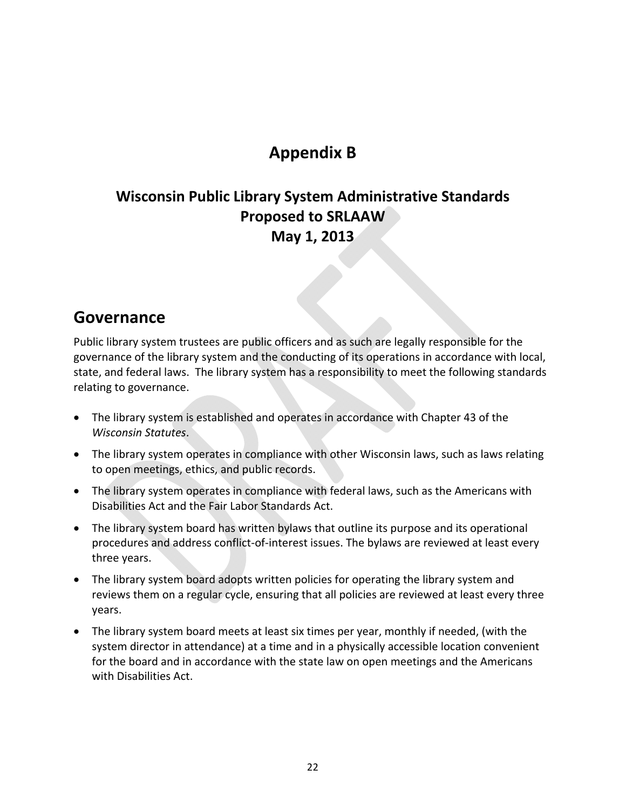## **Appendix B**

### **Wisconsin Public Library System Administrative Standards Proposed to SRLAAW May 1, 2013**

### **Governance**

Public library system trustees are public officers and as such are legally responsible for the governance of the library system and the conducting of its operations in accordance with local, state, and federal laws. The library system has a responsibility to meet the following standards relating to governance.

- The library system is established and operates in accordance with Chapter 43 of the *Wisconsin Statutes*.
- The library system operates in compliance with other Wisconsin laws, such as laws relating to open meetings, ethics, and public records.
- The library system operates in compliance with federal laws, such as the Americans with Disabilities Act and the Fair Labor Standards Act.
- The library system board has written bylaws that outline its purpose and its operational procedures and address conflict‐of‐interest issues. The bylaws are reviewed at least every three years.
- The library system board adopts written policies for operating the library system and reviews them on a regular cycle, ensuring that all policies are reviewed at least every three years.
- The library system board meets at least six times per year, monthly if needed, (with the system director in attendance) at a time and in a physically accessible location convenient for the board and in accordance with the state law on open meetings and the Americans with Disabilities Act.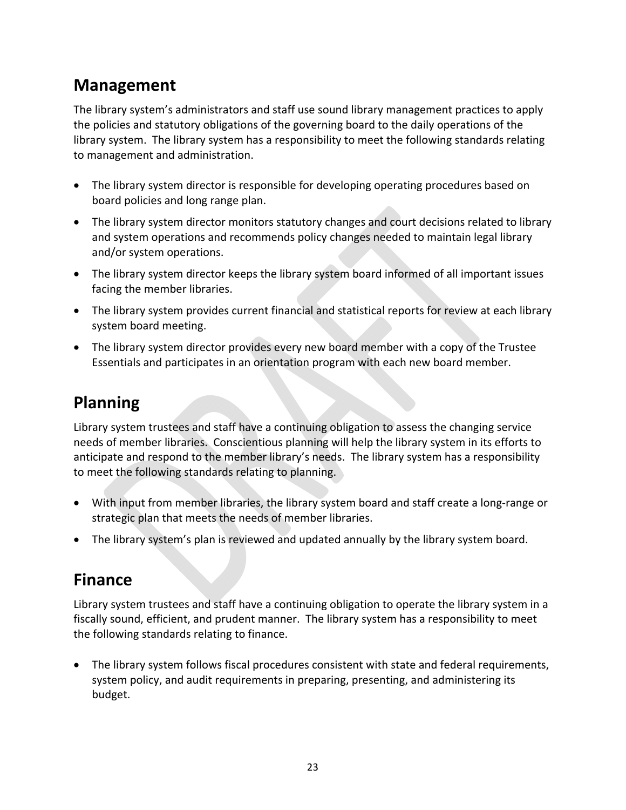## **Management**

The library system's administrators and staff use sound library management practices to apply the policies and statutory obligations of the governing board to the daily operations of the library system. The library system has a responsibility to meet the following standards relating to management and administration.

- The library system director is responsible for developing operating procedures based on board policies and long range plan.
- The library system director monitors statutory changes and court decisions related to library and system operations and recommends policy changes needed to maintain legal library and/or system operations.
- The library system director keeps the library system board informed of all important issues facing the member libraries.
- The library system provides current financial and statistical reports for review at each library system board meeting.
- The library system director provides every new board member with a copy of the Trustee Essentials and participates in an orientation program with each new board member.

## **Planning**

Library system trustees and staff have a continuing obligation to assess the changing service needs of member libraries. Conscientious planning will help the library system in its efforts to anticipate and respond to the member library's needs. The library system has a responsibility to meet the following standards relating to planning.

- With input from member libraries, the library system board and staff create a long-range or strategic plan that meets the needs of member libraries.
- The library system's plan is reviewed and updated annually by the library system board.

## **Finance**

Library system trustees and staff have a continuing obligation to operate the library system in a fiscally sound, efficient, and prudent manner. The library system has a responsibility to meet the following standards relating to finance.

 The library system follows fiscal procedures consistent with state and federal requirements, system policy, and audit requirements in preparing, presenting, and administering its budget.